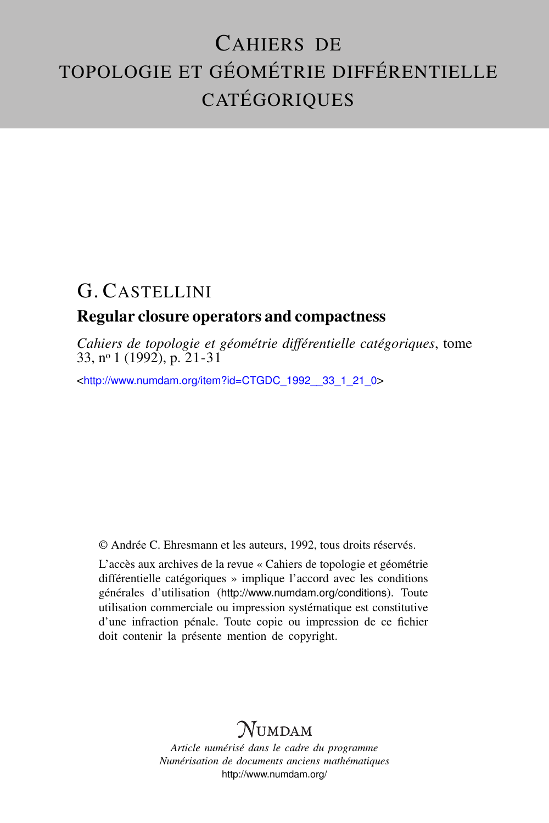# CAHIERS DE TOPOLOGIE ET GÉOMÉTRIE DIFFÉRENTIELLE CATÉGORIQUES

# G. CASTELLINI

# Regular closure operators and compactness

*Cahiers de topologie et géométrie différentielle catégoriques*, tome 33, nº 1 (1992), p.  $21-31$ 

<[http://www.numdam.org/item?id=CTGDC\\_1992\\_\\_33\\_1\\_21\\_0](http://www.numdam.org/item?id=CTGDC_1992__33_1_21_0)>

© Andrée C. Ehresmann et les auteurs, 1992, tous droits réservés.

L'accès aux archives de la revue « Cahiers de topologie et géométrie différentielle catégoriques » implique l'accord avec les conditions générales d'utilisation (<http://www.numdam.org/conditions>). Toute utilisation commerciale ou impression systématique est constitutive d'une infraction pénale. Toute copie ou impression de ce fichier doit contenir la présente mention de copyright.

# **NUMDAM**

*Article numérisé dans le cadre du programme Numérisation de documents anciens mathématiques* <http://www.numdam.org/>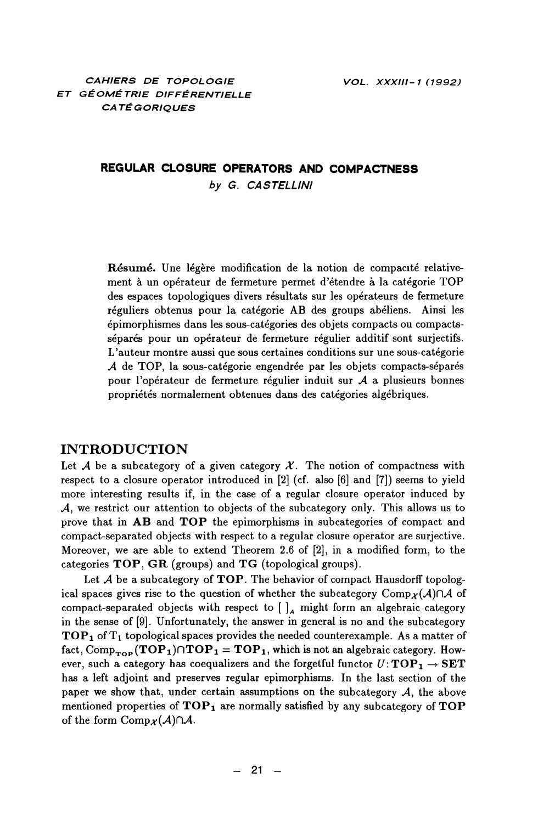## REGULAR CLOSURE OPERATORS AND COMPACTNESS by G. CASTELLINI

Résumé. Une légère modification de la notion de compacité relativement à un opérateur de fermeture permet d'étendre à la catégorie TOP des espaces topologiques divers résultats sur les opérateurs de fermeture réguliers obtenus pour la catégorie AB des groups abéliens. Ainsi les épimorphismes dans les sous-catégories des objets compacts ou compactsséparés pour un opérateur de fermeture régulier additif sont surjectifs. L'auteur montre aussi que sous certaines conditions sur une sous-catégorie A de TOP, la sous-catégorie engendrée par les objets compacts-séparés pour l'opérateur de fermeture régulier induit sur  $A$  a plusieurs bonnes propriétés normalement obtenues dans des catégories algébriques.

#### **INTRODUCTION**

Let A be a subcategory of a given category  $\mathcal X$ . The notion of compactness with respect to a closure operator introduced in [2] (cf. also [6] and [7]) seems to yield more interesting results if, in the case of a regular closure operator induced by  $\mathcal A$ , we restrict our attention to objects of the subcategory only. This allows us to prove that in AB and TOP the epimorphisms in subcategories of compact and compact-separated objects with respect to a regular closure operator are surjective. Moreover, we are able to extend Theorem 2.6 of [2], in a modified form, to the categories TOP, GR (groups) and TG (topological groups).

Let  $A$  be a subcategory of TOP. The behavior of compact Hausdorff topological spaces gives rise to the question of whether the subcategory Comp<sub>x</sub>(A) $\cap$ A of compact-separated objects with respect to  $\lceil \cdot \rceil$  might form an algebraic category in the sense of  $[9]$ . Unfortunately, the answer in general is no and the subcategory  $\mathbf{TOP_1}$  of  $T_1$  topological spaces provides the needed counterexample. As a matter of fact, Comp<sub>rop</sub>  $(TOP_1) \cap TOP_1 = TOP_1$ , which is not an algebraic category. However, such a category has coequalizers and the forgetful functor  $U:TOP_1 \rightarrow SET$ has a left adjoint and preserves regular epimorphisms. In the last section of the paper we show that, under certain assumptions on the subcategory  $A$ , the above mentioned properties of  $\mathbf{TOP}_1$  are normally satisfied by any subcategory of  $\mathbf{TOP}$ of the form  $\text{Comp}_{\mathcal{X}}(\mathcal{A}) \cap \mathcal{A}$ .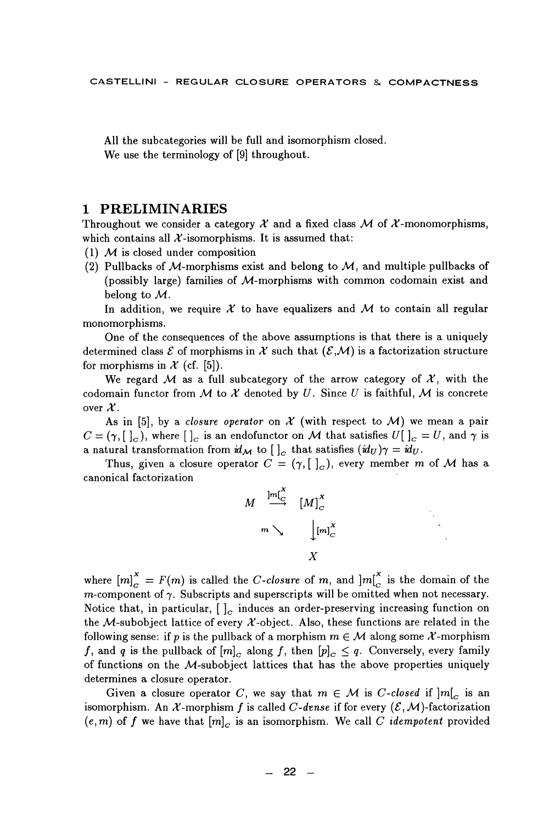All the subcategories will be full and isomorphism closed. We use the terminology of [9] throughout.

#### 1 PRELIMINARIES

Throughout we consider a category  $\mathcal X$  and a fixed class  $\mathcal M$  of  $\mathcal X$ -monomorphisms. which contains all  $\mathcal{X}$ -isomorphisms. It is assumed that:

- (1)  $M$  is closed under composition
- (2) Pullbacks of M-morphisms exist and belong to  $M$ , and multiple pullbacks of (possibly large) families of  $M$ -morphisms with common codomain exist and belong to  $M$ .

In addition, we require  $\mathcal X$  to have equalizers and  $\mathcal M$  to contain all regular monomorphisms.

One of the consequences of the above assumptions is that there is a uniquely determined class  $\mathcal E$  of morphisms in X such that  $(\mathcal E, \mathcal M)$  is a factorization structure for morphisms in  $\mathcal X$  (cf. [5]).

We regard M as a full subcategory of the arrow category of  $\mathcal{X}$ , with the codomain functor from M to X denoted by U. Since U is faithful, M is concrete over  $\mathcal{X}$ .

As in [5], by a *closure operator* on  $\mathcal X$  (with respect to  $\mathcal M$ ) we mean a pair  $C = (\gamma, [c],$  where  $[c],$  is an endofunctor on M that satisfies  $U[c], = U$ , and  $\gamma$  is a natural transformation from  $\dot{u}_M$  to  $[\,\,]_C$  that satisfies  $(\dot{u}_U)\gamma = \dot{u}_U$ .

Thus, given a closure operator  $C = (\gamma, [c]_c)$ , every member m of M has a canonical factorization

$$
M \xrightarrow{\mathrm{Jm}_C^{\mathrm{TX}}} [M]_C^{\mathrm{X}}
$$

$$
m \searrow \qquad \downarrow [m]_C^{\mathrm{X}}
$$

$$
X
$$

where  $[m]_{\alpha}^{X} = F(m)$  is called the *C*-closure of m, and  $[m]_{\alpha}^{X}$  is the domain of the  $m$ -component of  $\gamma$ . Subscripts and superscripts will be omitted when not necessary. Notice that, in particular,  $\left[\right]_c$  induces an order-preserving increasing function on the M-subobject lattice of every  $\mathcal{X}$ -object. Also, these functions are related in the following sense: if p is the pullback of a morphism  $m \in \mathcal{M}$  along some X-morphism f, and q is the pullback of  $[m]_C$  along f, then  $[p]_C \leq q$ . Conversely, every family of functions on the M-subobject lattices that has the above properties uniquely determines a closure operator.

Given a closure operator C, we say that  $m \in \mathcal{M}$  is C-closed if  $|m|_C$  is an isomorphism. An X-morphism f is called C-dense if for every  $(\mathcal{E}, \mathcal{M})$ -factorization  $(e, m)$  of f we have that  $[m]_C$  is an isomorphism. We call C *idempotent* provided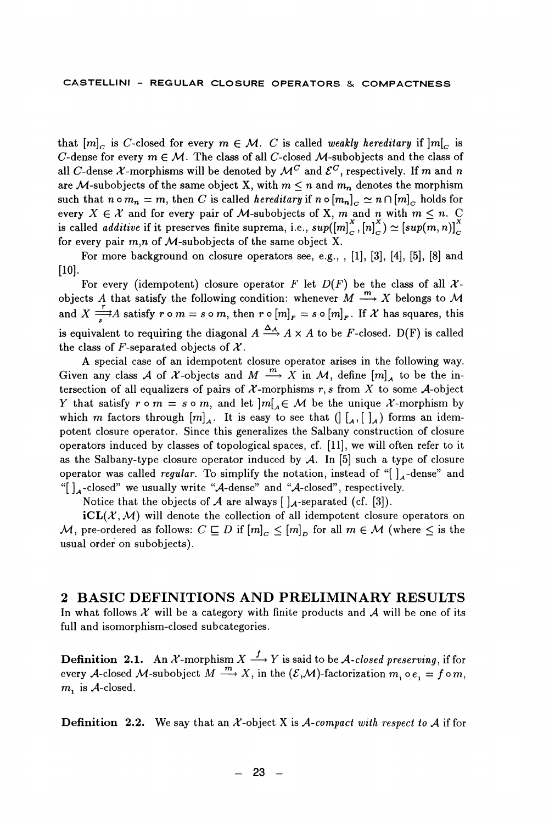that  $[m]_C$  is C-closed for every  $m \in \mathcal{M}$ . C is called weakly hereditary if  $|m|_C$  is C-dense for every  $m \in \mathcal{M}$ . The class of all C-closed M-subobjects and the class of all C-dense X-morphisms will be denoted by  $\mathcal{M}^C$  and  $\mathcal{E}^C$ , respectively. If m and n are M-subobjects of the same object X, with  $m \leq n$  and  $m_n$  denotes the morphism such that  $n \circ m_n = m$ , then C is called *hereditary* if  $n \circ [m_n]_C \simeq n \cap [m]_C$  holds for every  $X \in \mathcal{X}$  and for every pair of M-subobjects of X, m and n with  $m \leq n$ . C is called *additive* if it preserves finite suprema, i.e.,  $sup([m]_C^X, [n]_C^X) \simeq [sup(m, n)]_C^X$ for every pair  $m,n$  of M-subobjects of the same object X.

For more background on closure operators see, e.g., , [1], [3], [4], [5], [8] and  $[10]$ .

For every (idempotent) closure operator F let  $D(F)$  be the class of all Xobjects A that satisfy the following condition: whenever  $M \stackrel{m}{\longrightarrow} X$  belongs to M and  $X \stackrel{r}{\longrightarrow} A$  satisfy  $r \circ m = s \circ m$ , then  $r \circ [m]_F = s \circ [m]_F$ . If X has squares, this is equivalent to requiring the diagonal  $A \xrightarrow{\Delta_A} A \times A$  to be F-closed. D(F) is called the class of F-separated objects of  $\mathcal X$ .

A special case of an idempotent closure operator arises in the following way. Given any class A of X-objects and M  $\stackrel{m}{\longrightarrow} X$  in M, define  $[m]_4$  to be the intersection of all equalizers of pairs of  $X$ -morphisms  $r, s$  from X to some A-object Y that satisfy  $r \circ m = s \circ m$ , and let  $|m|_A \in \mathcal{M}$  be the unique X-morphism by which m factors through  $[m]_4$ . It is easy to see that  $(\begin{bmatrix} 0 & 0 \\ 0 & 1 \end{bmatrix})$  forms an idempotent closure operator. Since this generalizes the Salbany construction of closure operators induced by classes of topological spaces, cf. [11], we will often refer to it as the Salbany-type closure operator induced by  $A$ . In [5] such a type of closure operator was called *regular*. To simplify the notation, instead of " $\int_{A}$ -dense" and "[]<sub>A</sub>-closed" we usually write "A-dense" and "A-closed", respectively.

Notice that the objects of A are always  $\left[\right]_A$ -separated (cf. [3]).

 $iCL(X, M)$  will denote the collection of all idempotent closure operators on  ${\cal M},$  pre-ordered as follows:  $C\sqsubseteq D$  if  $[m]_C\leq [m]_D$  for all  $m\in {\cal M}$  (where  $\leq$  is the usual order on subobjects).

### 2 BASIC DEFINITIONS AND PRELIMINARY RESULTS

In what follows  $\mathcal X$  will be a category with finite products and  $\mathcal A$  will be one of its full and isomorphism-closed subcategories.

**Definition 2.1.** An X-morphism  $X \xrightarrow{f} Y$  is said to be A-closed preserving, if for every A-closed M-subobject  $M \stackrel{m}{\longrightarrow} X$ , in the  $(\mathcal{E}, \mathcal{M})$ -factorization  $m_1 \circ e_1 = f \circ m$ ,  $m$ , is  $A$ -closed.

**Definition** 2.2. We say that an  $\mathcal{X}$ -object X is A-compact with respect to A if for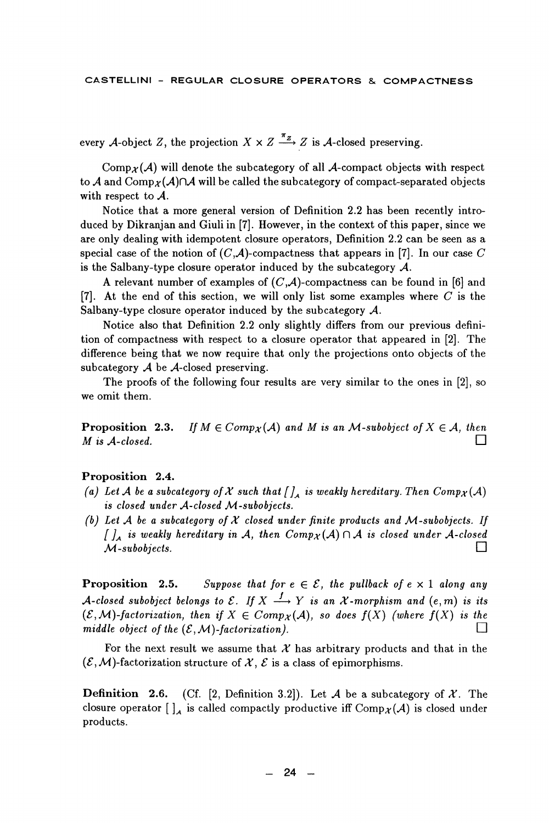every A-object Z, the projection  $X \times Z \xrightarrow{\pi_Z} Z$  is A-closed preserving.

 $\text{Comp}_{\mathcal{X}}(\mathcal{A})$  will denote the subcategory of all A-compact objects with respect to A and Comp<sub>x</sub>(A) $\cap$ A will be called the subcategory of compact-separated objects with respect to  $A$ .

Notice that a more general version of Definition 2.2 has been recently introduced by Dikranian and Giuli in [7]. However, in the context of this paper, since we are only dealing with idempotent closure operators, Definition 2.2 can be seen as a special case of the notion of  $(C, A)$ -compactness that appears in [7]. In our case C is the Salbany-type closure operator induced by the subcategory  $\mathcal{A}$ .

A relevant number of examples of  $(C, A)$ -compactness can be found in [6] and [7]. At the end of this section, we will only list some examples where  $C$  is the Salbany-type closure operator induced by the subcategory  $\mathcal{A}$ .

Notice also that Definition 2.2 only slightly differs from our previous definition of compactness with respect to a closure operator that appeared in [2]. The difference being that we now require that only the projections onto objects of the subcategory  $A$  be  $A$ -closed preserving.

The proofs of the following four results are very similar to the ones in [2], so we omit them.

Proposition 2.3. If  $M \in Comp_{\mathcal{X}}(\mathcal{A})$  and M is an M-subobject of  $X \in \mathcal{A}$ , then M is A-closed. ⊓

#### Proposition 2.4.

- (a) Let A be a subcategory of X such that  $\iint_A$  is weakly hereditary. Then  $Comp_{\mathcal{X}}(A)$ is closed under A-closed M-subobjects.
- (b) Let A be a subcategory of X closed under finite products and M-subobjects. If  $\iint_A$  is weakly hereditary in A, then  $Comp_X(A) \cap A$  is closed under A-closed □  $M$ -subobjects.

Proposition 2.5. Suppose that for  $e \in \mathcal{E}$ , the pullback of  $e \times 1$  along any A-closed subobject belongs to  $\mathcal E$ . If  $X \stackrel{f}{\longrightarrow} Y$  is an X-morphism and  $(e, m)$  is its  $(\mathcal{E}, \mathcal{M})$ -factorization, then if  $X \in Comp_{\mathcal{X}}(\mathcal{A})$ , so does  $f(X)$  (where  $f(X)$  is the middle object of the  $(\mathcal{E}, \mathcal{M})$ -factorization).  $\perp$ 

For the next result we assume that  $\mathcal X$  has arbitrary products and that in the  $(\mathcal{E}, \mathcal{M})$ -factorization structure of X,  $\mathcal{E}$  is a class of epimorphisms.

Definition 2.6. (Cf. [2, Definition 3.2]). Let A be a subcategory of X. The closure operator  $\left[\right]_A$  is called compactly productive iff Comp $_X(A)$  is closed under products.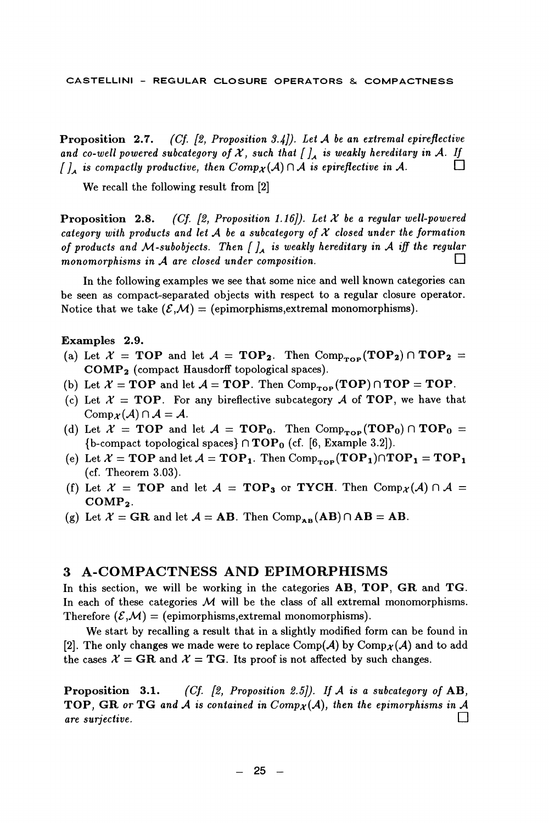Proposition 2.7. (Cf.  $[2, Proposition 3.4]$ ). Let A be an extremal epireflective and co-well powered subcategory of  $\mathcal X$ , such that  $[\,\,]_A$  is weakly hereditary in  $\mathcal A$ . If П  $\int_{A}$  is compactly productive, then  $Comp_{\mathcal{X}}(A) \cap A$  is epireflective in A.

We recall the following result from [2]

(Cf. [2, Proposition 1.16]). Let  $X$  be a regular well-powered Proposition 2.8. category with products and let A be a subcategory of  $X$  closed under the formation of products and M-subobjects. Then  $\iint_A$  is weakly hereditary in A iff the regular П monomorphisms in  $A$  are closed under composition.

In the following examples we see that some nice and well known categories can be seen as compact-separated objects with respect to a regular closure operator. Notice that we take  $(\mathcal{E},\mathcal{M}) =$  (epimorphisms, extremal monomorphisms).

#### Examples 2.9.

- (a) Let  $X = TOP$  and let  $A = TOP_2$ . Then Comp<sub>rop</sub> (TOP<sub>2</sub>)  $\cap TOP_2 =$ COMP<sub>2</sub> (compact Hausdorff topological spaces).
- (b) Let  $\mathcal{X} = TOP$  and let  $\mathcal{A} = TOP$ . Then Comp<sub>rop</sub> (TOP)  $\cap TOP = TOP$ .
- (c) Let  $X = TOP$ . For any bireflective subcategory A of TOP, we have that  $\mathrm{Comp}_{\mathcal{X}}(\mathcal{A}) \cap \mathcal{A} = \mathcal{A}.$
- (d) Let  $X = TOP$  and let  $A = TOP_0$ . Then Comp<sub>rop</sub> (TOP<sub>0</sub>)  $\cap TOP_0 =$ {b-compact topological spaces}  $\cap$  TOP<sub>0</sub> (cf. [6, Example 3.2]).
- (e) Let  $\mathcal{X} = TOP$  and let  $\mathcal{A} = TOP_1$ . Then Comp<sub>rop</sub>  $(TOP_1) \cap TOP_1 = TOP_1$ (cf. Theorem  $3.03$ ).
- (f) Let  $X = TOP$  and let  $A = TOP_3$  or TYCH. Then Comp $_{\mathcal{X}}(A) \cap A =$  $COMP_2$ .
- (g) Let  $\mathcal{X} = \mathbf{GR}$  and let  $\mathcal{A} = \mathbf{AB}$ . Then  $Comp_{\mathbf{AR}}(\mathbf{AB}) \cap \mathbf{AB} = \mathbf{AB}$ .

#### 3 A-COMPACTNESS AND EPIMORPHISMS

In this section, we will be working in the categories AB, TOP, GR and TG. In each of these categories  $M$  will be the class of all extremal monomorphisms. Therefore  $(\mathcal{E}, \mathcal{M}) =$  (epimorphisms, extremal monomorphisms).

We start by recalling a result that in a slightly modified form can be found in [2]. The only changes we made were to replace Comp(A) by Comp<sub>x</sub>(A) and to add the cases  $\mathcal{X} = \mathbf{GR}$  and  $\mathcal{X} = \mathbf{TG}$ . Its proof is not affected by such changes.

(Cf. [2, Proposition 2.5]). If A is a subcategory of  $AB$ , Proposition 3.1. **TOP**, GR or TG and A is contained in  $Comp_{\mathcal{X}}(A)$ , then the epimorphisms in A П are surjective.

 $25 -$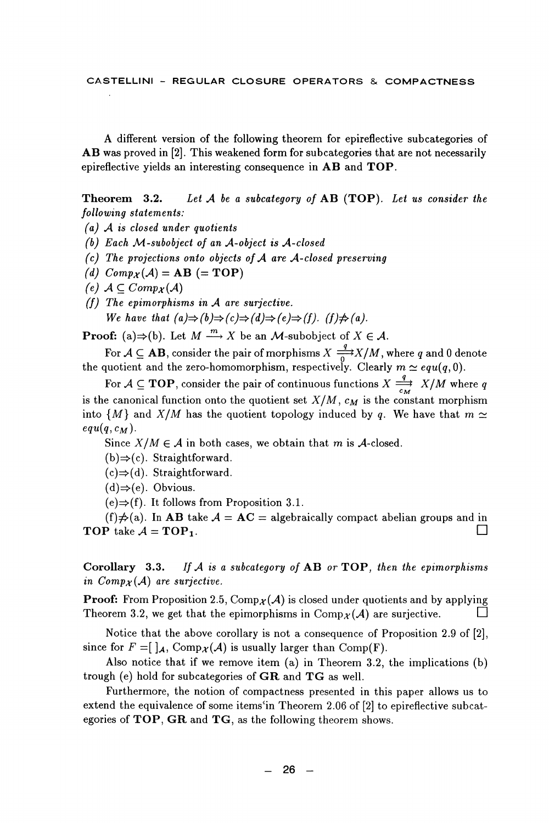A different version of the following theorem for epireflective subcategories of AB was proved in [2]. This weakened form for subcategories that are not necessarily epireflective yields an interesting consequence in AB and TOP.

Theorem 3.2. Let  $A$  be a subcategory of  $AB$  (TOP). Let us consider the following statements:

- $(a)$  A is closed under quotients
- (b) Each  $M$ -subobject of an  $A$ -object is  $A$ -closed
- $(c)$  The projections onto objects of A are A-closed preserving
- (d)  $Comp_{\mathcal{X}}(\mathcal{A}) = AB (= TOP)$
- (e)  $A \subset Comp_X(A)$
- $(f)$  The epimorphisms in  $A$  are surjective. We have that  $(a) \Rightarrow (b) \Rightarrow (c) \Rightarrow (d) \Rightarrow (e) \Rightarrow (f)$ .  $(f) \neq (a)$ .

**Proof:** (a) $\Rightarrow$ (b). Let  $M \xrightarrow{m} X$  be an *M*-subobject of  $X \in \mathcal{A}$ .

For  $A \subseteq AB$ , consider the pair of morphisms  $X \stackrel{q}{\longrightarrow} X/M$ , where q and 0 denote the quotient and the zero-homomorphism, respectively. Clearly  $m \simeq equ(q,0)$ .

quotient and the zero-non-on-operation,  $\sum_{r=1}^{n} f(r) = \frac{q}{r}$   $X/M$  where q<br>For  $A \subseteq \textbf{TOP}$ , consider the pair of continuous functions  $X \xrightarrow{q} X/M$  where q is the canonical function onto the quotient set  $X/M$ ,  $c_M$  is the constant morphism into  $\{M\}$  and  $X/M$  has the quotient topology induced by q. We have that  $m \simeq$  $equ(q, c_M).$ 

Since  $X/M \in \mathcal{A}$  in both cases, we obtain that m is A-closed.

- $(b) \Rightarrow (c)$ . Straightforward.
- $(c) \Rightarrow (d)$ . Straightforward.
- $(d) \Rightarrow (e)$ . Obvious.
- $(e) \Rightarrow (f)$ . It follows from Proposition 3.1.

(f) $\neq$ (a). In AB take  $A = AC =$  algebraically compact abelian groups and in П **TOP** take  $A = TOP_1$ .

Corollary 3.3. If  $A$  is a subcategory of  $AB$  or  $TOP$ , then the epimorphisms in  $Comp_{\mathcal{X}}(\mathcal{A})$  are surjective.

**Proof:** From Proposition 2.5,  $\text{Comp}_{\mathcal{X}}(\mathcal{A})$  is closed under quotients and by applying Theorem 3.2, we get that the epimorphisms in  $\text{Comp}_{\mathcal{X}}(\mathcal{A})$  are surjective.  $\Box$ 

Notice that the above corollary is not a consequence of Proposition 2.9 of [2], since for  $F = [\,]_A$ , Comp $_{\mathcal{X}}(A)$  is usually larger than Comp(F).

Also notice that if we remove item  $(a)$  in Theorem 3.2, the implications  $(b)$ trough (e) hold for subcategories of  $GR$  and  $TG$  as well.

Furthermore, the notion of compactness presented in this paper allows us to extend the equivalence of some items'in Theorem 2.06 of [2] to epireflective subcategories of  $TOP$ ,  $GR$  and  $TG$ , as the following theorem shows.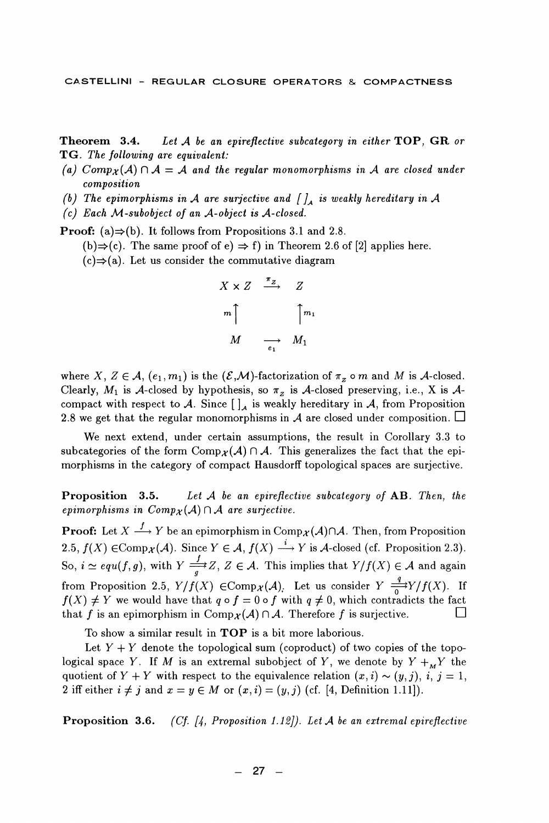Theorem 3.4. Let  $A$  be an epireflective subcategory in either  $TOP$ ,  $GR$  or TG. The following are equivalent:

- (a) Comp<sub>x</sub>(A)  $\cap$  A = A and the regular monomorphisms in A are closed under composition
- (b) The epimorphisms in A are surjective and  $\int_{A}$  is weakly hereditary in A
- (c) Each M-subobject of an A-object is A-closed.

**Proof:** (a) $\Rightarrow$ (b). It follows from Propositions 3.1 and 2.8.

(b)  $\Rightarrow$  (c). The same proof of e)  $\Rightarrow$  f) in Theorem 2.6 of [2] applies here.

 $(c) \Rightarrow (a)$ . Let us consider the commutative diagram

$$
X \times Z \xrightarrow{\pi_Z} Z
$$
  
\n
$$
m \uparrow \qquad \qquad \uparrow m_1
$$
  
\n
$$
M \xrightarrow{\qquad \qquad m_1} M_1
$$

where X,  $Z \in \mathcal{A}$ ,  $(e_1, m_1)$  is the  $(\mathcal{E}, \mathcal{M})$ -factorization of  $\pi_z$  o m and M is A-closed. Clearly,  $M_1$  is A-closed by hypothesis, so  $\pi_z$  is A-closed preserving, i.e., X is Acompact with respect to A. Since  $[\ ]_A$  is weakly hereditary in A, from Proposition 2.8 we get that the regular monomorphisms in A are closed under composition.  $\Box$ 

We next extend, under certain assumptions, the result in Corollary 3.3 to subcategories of the form  $Comp_{\mathcal{X}}(\mathcal{A}) \cap \mathcal{A}$ . This generalizes the fact that the epimorphisms in the category of compact Hausdorff topological spaces are surjective.

Proposition 3.5. Let  $A$  be an epireflective subcategory of  $AB$ . Then, the epimorphisms in  $Comp_{\mathcal{X}}(\mathcal{A}) \cap \mathcal{A}$  are surjective.

**Proof:** Let  $X \xrightarrow{f} Y$  be an epimorphism in Comp $_{\mathcal{X}}(\mathcal{A}) \cap \mathcal{A}$ . Then, from Proposition 2.5,  $f(X) \in \text{Comp}_{\mathcal{X}}(\mathcal{A})$ . Since  $Y \in \mathcal{A}$ ,  $f(X) \stackrel{i}{\longrightarrow} Y$  is  $\mathcal{A}$ -closed (cf. Proposition 2.3). So,  $i \simeq equ(f,g)$ , with  $Y \stackrel{f}{\longrightarrow} Z$ ,  $Z \in \mathcal{A}$ . This implies that  $Y/f(X) \in \mathcal{A}$  and again from Proposition 2.5,  $Y/f(X) \in \text{Comp}_X(\mathcal{A})$ . Let us consider  $Y = \frac{q}{0} Y/f(X)$ . If  $f(X) \neq Y$  we would have that  $q \circ f = 0 \circ f$  with  $q \neq 0$ , which contradicts the fact that f is an epimorphism in Comp $_{\mathcal{X}}(\mathcal{A}) \cap \mathcal{A}$ . Therefore f is surjective.  $\Box$ 

To show a similar result in **TOP** is a bit more laborious.

Let  $Y + Y$  denote the topological sum (coproduct) of two copies of the topological space Y. If M is an extremal subobject of Y, we denote by  $Y +_M Y$  the quotient of  $Y + Y$  with respect to the equivalence relation  $(x, i) \sim (y, j)$ , i,  $j = 1$ , 2 iff either  $i \neq j$  and  $x = y \in M$  or  $(x, i) = (y, j)$  (cf. [4, Definition 1.11]).

**Proposition 3.6.** (Cf. [4, Proposition 1.12]). Let A be an extremal epireflective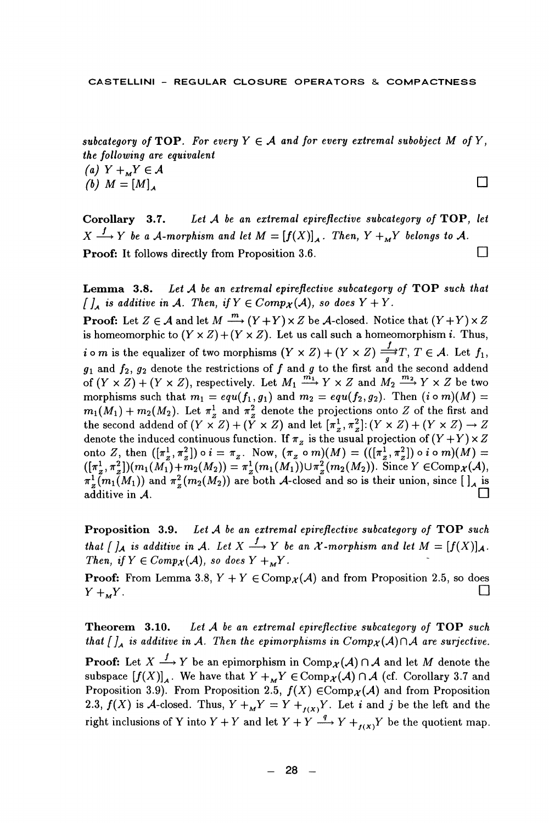subcategory of TOP. For every  $Y \in \mathcal{A}$  and for every extremal subobject M of Y, the following are equivalent (a)  $Y +_{M} Y \in \mathcal{A}$  $\Box$ 

(b)  $M = [M]$ .

Let  $A$  be an extremal epireflective subcategory of  $\mathbf{TOP}$ , let Corollary 3.7.  $X \xrightarrow{f} Y$  be a A-morphism and let  $M = [f(X)]_A$ . Then,  $Y +_M Y$  belongs to A. Proof: It follows directly from Proposition 3.6.  $\Box$ 

Let A be an extremal epireflective subcategory of TOP such that Lemma 3.8.  $\iiint_A$  is additive in A. Then, if  $Y \in Comp_{\mathcal{X}}(\mathcal{A})$ , so does  $Y + Y$ .

**Proof:** Let  $Z \in \mathcal{A}$  and let  $M \stackrel{m}{\longrightarrow} (Y + Y) \times Z$  be  $\mathcal{A}$ -closed. Notice that  $(Y + Y) \times Z$ is homeomorphic to  $(Y \times Z) + (Y \times Z)$ . Let us call such a homeomorphism *i*. Thus, *i* o *m* is the equalizer of two morphisms  $(Y \times Z) + (Y \times Z) \xrightarrow{f} T$ ,  $T \in A$ . Let  $f_1$ ,  $g_1$  and  $f_2$ ,  $g_2$  denote the restrictions of  $f$  and  $g$  to the first and the second addend of  $(Y \times Z) + (Y \times Z)$ , respectively. Let morphisms such that  $m_1 = equ(f_1, g_1)$  and  $m_2 = equ(f_2, g_2)$ . Then  $(i \circ m)(M) =$  $m_1(M_1) + m_2(M_2)$ . Let  $\pi^1$  and  $\pi^2$  denote the projections onto Z of the first and the second addend of  $(Y \times Z) + (Y \times Z)$  and let  $[\pi^1, \pi^2, \pi^2]$ :  $(Y \times Z) + (Y \times Z) \rightarrow Z$ denote the induced continuous function. If  $\pi_z$  is the usual projection of  $(Y+Y) \times Z$ onto Z, then  $([\pi_2^1, \pi_2^2]) \circ i = \pi_z$ . Now,  $(\pi_2 \circ m)(M) = (([\pi_2^1, \pi_2^2]) \circ i \circ m)(M) = ((\pi_2^1, \pi_2^2])(m_1(M_1) + m_2(M_2)) = \pi_2^1(m_1(M_1)) \cup \pi_2^2(m_2(M_2))$ . Since  $Y \in \text{Comp}_X(\mathcal{A})$ ,  $\pi^1$ ,  $(m_1(M_1))$  and  $\pi^2$ ,  $(m_2(M_2))$  are both A-closed and so is their union, since  $\left[\right]_A$  is additive in  $A$ .

**Proposition 3.9.** Let  $A$  be an extremal epireflective subcategory of TOP such that  $\int_{\mathcal{A}}$  is additive in A. Let  $X \xrightarrow{f} Y$  be an  $X$ -morphism and let  $M = [f(X)]_{\mathcal{A}}$ . Then, if  $Y \in Comp_{\mathcal{X}}(\mathcal{A})$ , so does  $Y +_{\mathcal{M}} Y$ .

**Proof:** From Lemma 3.8,  $Y + Y \in Comp_{\mathcal{X}}(\mathcal{A})$  and from Proposition 2.5, so does П  $Y + _{M}Y$ .

Let A be an extremal epireflective subcategory of TOP such Theorem 3.10. that  $\iint_A$  is additive in A. Then the epimorphisms in  $Comp_X(A) \cap A$  are surjective.

**Proof:** Let  $X \xrightarrow{f} Y$  be an epimorphism in  $\text{Comp}_{\mathcal{X}}(\mathcal{A}) \cap \mathcal{A}$  and let M denote the subspace  $[f(X)]_4$ . We have that  $Y +_{\mathbf{w}} Y \in \text{Comp}_{\mathcal{X}}(\mathcal{A}) \cap \mathcal{A}$  (cf. Corollary 3.7 and Proposition 3.9). From Proposition 2.5,  $f(X) \in \text{Comp}_{\mathcal{X}}(\mathcal{A})$  and from Proposition 2.3,  $f(X)$  is A-closed. Thus,  $Y +_{M}Y = Y +_{f(X)}Y$ . Let *i* and *j* be the left and the right inclusions of Y into  $Y + Y$  and let  $Y + Y \xrightarrow{q} Y +_{t \times X} Y$  be the quotient map.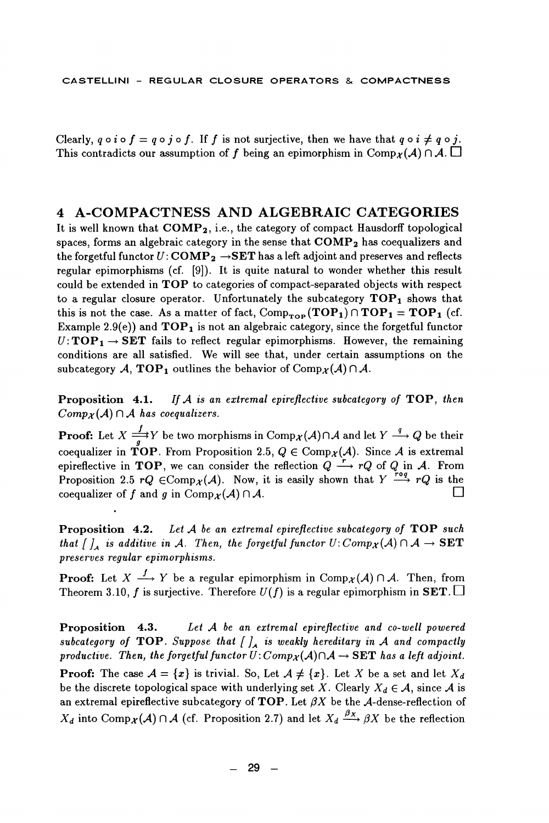Clearly,  $g \circ i \circ f = g \circ j \circ f$ . If f is not surjective, then we have that  $g \circ i \neq g \circ j$ . This contradicts our assumption of f being an epimorphism in Comp $_{\mathcal{X}}(\mathcal{A}) \cap \mathcal{A}$ .

### 4 A-COMPACTNESS AND ALGEBRAIC CATEGORIES

It is well known that COMP<sub>2</sub>, i.e., the category of compact Hausdorff topological spaces, forms an algebraic category in the sense that  $\mathbf{COMP_2}$  has coequalizers and the forgetful functor  $U: \mathbf{COMP}_2 \to \mathbf{SET}$  has a left adjoint and preserves and reflects regular epimorphisms (cf. [9]). It is quite natural to wonder whether this result could be extended in TOP to categories of compact-separated objects with respect to a regular closure operator. Unfortunately the subcategory  $\mathbf{TOP}_1$  shows that this is not the case. As a matter of fact,  $Comp_{\text{top}}(TOP_1) \cap TOP_1 = TOP_1$  (cf. Example 2.9(e)) and  $\mathbf{TOP}_1$  is not an algebraic category, since the forgetful functor  $U: \mathbf{TOP_1} \to \mathbf{SET}$  fails to reflect regular epimorphisms. However, the remaining conditions are all satisfied. We will see that, under certain assumptions on the subcategory A, TOP<sub>1</sub> outlines the behavior of Comp $_{\mathcal{X}}(A) \cap A$ .

Proposition 4.1. If  $A$  is an extremal epireflective subcategory of  $\mathbf{TOP}$ , then  $Comp_{\mathcal{X}}(\mathcal{A}) \cap \mathcal{A}$  has coequalizers.

**Proof:** Let  $X \stackrel{f}{\Longrightarrow} Y$  be two morphisms in  $\text{Comp}_X(A) \cap A$  and let  $Y \stackrel{q}{\longrightarrow} Q$  be their coequalizer in TOP. From Proposition 2.5,  $Q \in \text{Comp}_X(\mathcal{A})$ . Since A is extremal epireflective in TOP, we can consider the reflection  $Q \xrightarrow{r} rQ$  of  $Q$  in  $A$ . From<br>Proposition 2.5  $rQ \in \text{Comp}_\mathcal{X}(A)$ . Now, it is easily shown that  $Y \xrightarrow{rQ} rQ$  is the coequalizer of f and g in Comp $_{\mathcal{X}}(\mathcal{A}) \cap \mathcal{A}$ .

Proposition 4.2. Let A be an extremal epireflective subcategory of TOP such that  $\iint_A$  is additive in A. Then, the forgetful functor  $U: Comp_X(A) \cap A \rightarrow SET$ preserves regular epimorphisms.

**Proof:** Let  $X \xrightarrow{f} Y$  be a regular epimorphism in Comp $_{\mathcal{X}}(\mathcal{A}) \cap \mathcal{A}$ . Then, from Theorem 3.10, f is surjective. Therefore  $U(f)$  is a regular epimorphism in SET.  $\square$ 

Proposition 4.3. Let A be an extremal epireflective and co-well powered subcategory of TOP. Suppose that  $\int_{A}$  is weakly hereditary in A and compactly productive. Then, the forgetful functor  $U: Comp_X(A) \cap A \rightarrow \mathbf{SET}$  has a left adjoint.

**Proof:** The case  $A = \{x\}$  is trivial. So, Let  $A \neq \{x\}$ . Let X be a set and let  $X_d$ be the discrete topological space with underlying set X. Clearly  $X_d \in \mathcal{A}$ , since A is an extremal epireflective subcategory of TOP. Let  $\beta X$  be the A-dense-reflection of  $X_d$  into Comp $\chi(A) \cap A$  (cf. Proposition 2.7) and let  $X_d \xrightarrow{\beta_X} \beta X$  be the reflection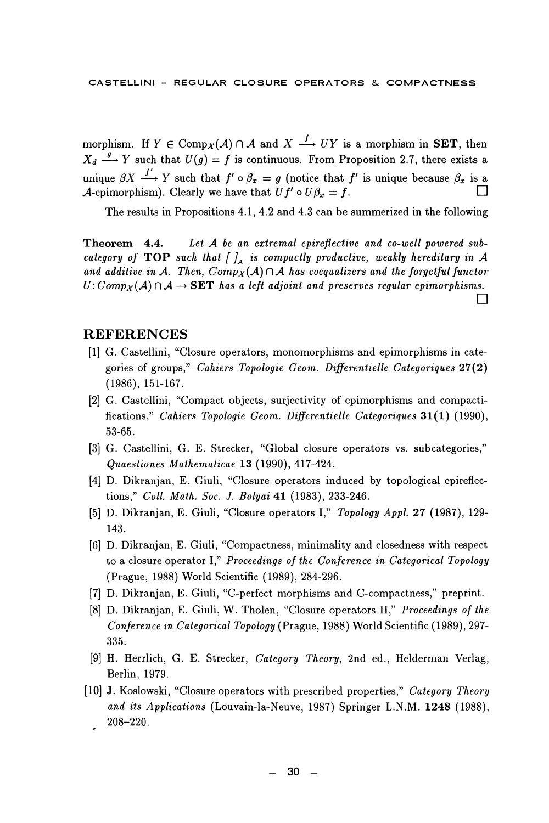morphism. If  $Y \in \text{Comp}_X(\mathcal{A}) \cap \mathcal{A}$  and  $X \stackrel{f}{\longrightarrow} UY$  is a morphism in **SET**, then  $X_d \stackrel{g}{\longrightarrow} Y$  such that  $U(g) = f$  is continuous. From Proposition 2.7, there exists a unique  $\beta X \stackrel{f'}{\longrightarrow} Y$  such that  $f' \circ \beta_x = g$  (notice that f' is unique because  $\beta_x$  is a A-epimorphism). Clearly we have that  $Uf' \circ U\beta_x = f$ .

The results in Propositions 4.1, 4.2 and 4.3 can be summerized in the following

Theorem 4.4. Let A be an extremal epireflective and co-well powered subcategory of TOP such that  $\iint_A$  is compactly productive, weakly hereditary in A and additive in A. Then,  $Comp_X(A) \cap A$  has coequalizers and the forgetful functor  $U: Comp_X(A) \cap A \rightarrow SET$  has a left adjoint and preserves regular epimorphisms. П

## **REFERENCES**

- [1] G. Castellini, "Closure operators, monomorphisms and epimorphisms in categories of groups," Cahiers Topologie Geom. Differentielle Categoriques 27(2)  $(1986), 151-167.$
- [2] G. Castellini, "Compact objects, surjectivity of epimorphisms and compactifications," Cahiers Topologie Geom. Differentielle Categoriques 31(1) (1990), 53-65.
- [3] G. Castellini, G. E. Strecker, "Global closure operators vs. subcategories," Quaestiones Mathematicae 13 (1990), 417-424.
- [4] D. Dikranjan, E. Giuli, "Closure operators induced by topological epireflections," Coll. Math. Soc. J. Bolyai 41 (1983), 233-246.
- [5] D. Dikranjan, E. Giuli, "Closure operators I," Topology Appl. 27 (1987), 129-143.
- [6] D. Dikranjan, E. Giuli, "Compactness, minimality and closedness with respect to a closure operator I," Proceedings of the Conference in Categorical Topology (Prague, 1988) World Scientific (1989), 284-296.
- [7] D. Dikranjan, E. Giuli, "C-perfect morphisms and C-compactness," preprint.
- [8] D. Dikranjan, E. Giuli, W. Tholen, "Closure operators II," Proceedings of the Conference in Categorical Topology (Prague, 1988) World Scientific (1989), 297-335.
- [9] H. Herrlich, G. E. Strecker, Category Theory, 2nd ed., Helderman Verlag, Berlin, 1979.
- [10] J. Koslowski, "Closure operators with prescribed properties," Category Theory and its Applications (Louvain-la-Neuve, 1987) Springer L.N.M. 1248 (1988),  $208 - 220.$